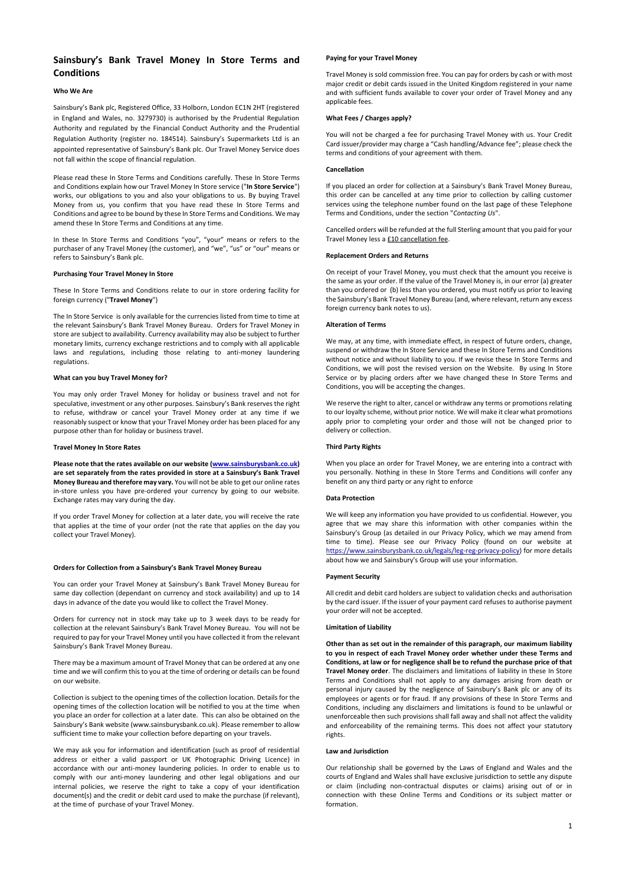1

## **Sainsbury's Bank Travel Money In Store Terms and Conditions**

#### **Who We Are**

Sainsbury's Bank plc, Registered Office, 33 Holborn, London EC1N 2HT (registered in England and Wales, no. 3279730) is authorised by the Prudential Regulation Authority and regulated by the Financial Conduct Authority and the Prudential Regulation Authority (register no. 184514). Sainsbury's Supermarkets Ltd is an appointed representative of Sainsbury's Bank plc. Our Travel Money Service does not fall within the scope of financial regulation.

Please read these In Store Terms and Conditions carefully. These In Store Terms and Conditions explain how our Travel Money In Store service ("**In Store Service**") works, our obligations to you and also your obligations to us. By buying Travel Money from us, you confirm that you have read these In Store Terms and Conditions and agree to be bound by these In Store Terms and Conditions. We may amend these In Store Terms and Conditions at any time.

In these In Store Terms and Conditions "you", "your" means or refers to the purchaser of any Travel Money (the customer), and "we", "us" or "our" means or refers to Sainsbury's Bank plc.

#### **Purchasing Your Travel Money In Store**

These In Store Terms and Conditions relate to our in store ordering facility for foreign currency ("**Travel Money**")

Please note that the rates available on our website [\(www.sainsburysbank.co.uk\)](http://www.sainsburysbank.co.uk/) **are set separately from the rates provided in store at a Sainsbury's Bank Travel Money Bureau and therefore may vary.** You will not be able to get our online rates in-store unless you have pre-ordered your currency by going to our website. Exchange rates may vary during the day.

The In Store Service is only available for the currencies listed from time to time at the relevant Sainsbury's Bank Travel Money Bureau. Orders for Travel Money in store are subject to availability. Currency availability may also be subject to further monetary limits, currency exchange restrictions and to comply with all applicable laws and regulations, including those relating to anti-money laundering regulations.

#### **What can you buy Travel Money for?**

You may only order Travel Money for holiday or business travel and not for speculative, investment or any other purposes. Sainsbury's Bank reserves the right to refuse, withdraw or cancel your Travel Money order at any time if we reasonably suspect or know that your Travel Money order has been placed for any purpose other than for holiday or business travel.

#### **Travel Money In Store Rates**

Cancelled orders will be refunded at the full Sterling amount that you paid for your Travel Money less a **£10 cancellation fee**.

If you order Travel Money for collection at a later date, you will receive the rate that applies at the time of your order (not the rate that applies on the day you collect your Travel Money).

#### **Orders for Collection from a Sainsbury's Bank Travel Money Bureau**

You can order your Travel Money at Sainsbury's Bank Travel Money Bureau for same day collection (dependant on currency and stock availability) and up to 14 days in advance of the date you would like to collect the Travel Money.

Orders for currency not in stock may take up to 3 week days to be ready for collection at the relevant Sainsbury's Bank Travel Money Bureau. You will not be required to pay for your Travel Money until you have collected it from the relevant Sainsbury's Bank Travel Money Bureau.

There may be a maximum amount of Travel Money that can be ordered at any one

time and we will confirm this to you at the time of ordering or details can be found on our website.

Collection is subject to the opening times of the collection location. Details for the opening times of the collection location will be notified to you at the time when you place an order for collection at a later date. This can also be obtained on the Sainsbury's Bank website (www.sainsburysbank.co.uk). Please remember to allow sufficient time to make your collection before departing on your travels.

We may ask you for information and identification (such as proof of residential address or either a valid passport or UK Photographic Driving Licence) in accordance with our anti-money laundering policies. In order to enable us to comply with our anti-money laundering and other legal obligations and our internal policies, we reserve the right to take a copy of your identification document(s) and the credit or debit card used to make the purchase (if relevant), at the time of purchase of your Travel Money.

#### **Paying for your Travel Money**

Travel Money is sold commission free. You can pay for orders by cash or with most major credit or debit cards issued in the United Kingdom registered in your name and with sufficient funds available to cover your order of Travel Money and any applicable fees.

### **What Fees / Charges apply?**

You will not be charged a fee for purchasing Travel Money with us. Your Credit Card issuer/provider may charge a "Cash handling/Advance fee"; please check the terms and conditions of your agreement with them.

#### **Cancellation**

If you placed an order for collection at a Sainsbury's Bank Travel Money Bureau, this order can be cancelled at any time prior to collection by calling customer services using the telephone number found on the last page of these Telephone Terms and Conditions, under the section "*Contacting Us*".

#### **Replacement Orders and Returns**

On receipt of your Travel Money, you must check that the amount you receive is the same as your order. If the value of the Travel Money is, in our error (a) greater than you ordered or (b) less than you ordered, you must notify us prior to leaving the Sainsbury's Bank Travel Money Bureau (and, where relevant, return any excess foreign currency bank notes to us).

#### **Alteration of Terms**

We may, at any time, with immediate effect, in respect of future orders, change, suspend or withdraw the In Store Service and these In Store Terms and Conditions without notice and without liability to you. If we revise these In Store Terms and Conditions, we will post the revised version on the Website. By using In Store Service or by placing orders after we have changed these In Store Terms and Conditions, you will be accepting the changes.

We reserve the right to alter, cancel or withdraw any terms or promotions relating to our loyalty scheme, without prior notice. We will make it clear what promotions apply prior to completing your order and those will not be changed prior to delivery or collection.

### **Third Party Rights**

When you place an order for Travel Money, we are entering into a contract with you personally. Nothing in these In Store Terms and Conditions will confer any benefit on any third party or any right to enforce

### **Data Protection**

We will keep any information you have provided to us confidential. However, you agree that we may share this information with other companies within the Sainsbury's Group (as detailed in our Privacy Policy, which we may amend from time to time). Please see our Privacy Policy (found on our website at [https://www.sainsburysbank.co.uk/legals/leg-reg-privacy-policy\)](http://cp.mcafee.com/d/5fHCNASy-ztVwQsCzAsyrKrjhKMqemkQhOpJ6XXXzPzXypJ6XytT4XFI6QknDDHTd7dNNIh-49e_7zSXrg5kSka46UBG4dwlWRuraCWra523siR26MaZqLdBjoVV0wxvn-LObXWqb3fnKnjKUVPa9EVpo7eth4sJtdmXafaxVZicHs3jqpJcTvAQT7CbThuvdTdAVPmEBC5eFIEk8dNbk8r0HRGYSlM_OeDQM_O9ufAiWQp6tImbHlfBoIr8Ryxm7aXquCpk9wGxfRz7E8sKrhKqen6m6job6Azh05qX2xEw1bgBgQg6BIo020Fsa-hQYeApUn3gVxwsOMMedbFJyVK4bLZAW1) for more details about how we and Sainsbury's Group will use your information.

#### **Payment Security**

All credit and debit card holders are subject to validation checks and authorisation by the card issuer. If the issuer of your payment card refuses to authorise payment your order will not be accepted.

#### **Limitation of Liability**

**Other than as set out in the remainder of this paragraph, our maximum liability to you in respect of each Travel Money order whether under these Terms and Conditions, at law or for negligence shall be to refund the purchase price of that Travel Money order**. The disclaimers and limitations of liability in these In Store Terms and Conditions shall not apply to any damages arising from death or personal injury caused by the negligence of Sainsbury's Bank plc or any of its employees or agents or for fraud. If any provisions of these In Store Terms and Conditions, including any disclaimers and limitations is found to be unlawful or unenforceable then such provisions shall fall away and shall not affect the validity and enforceability of the remaining terms. This does not affect your statutory rights.

#### **Law and Jurisdiction**

Our relationship shall be governed by the Laws of England and Wales and the courts of England and Wales shall have exclusive jurisdiction to settle any dispute or claim (including non-contractual disputes or claims) arising out of or in connection with these Online Terms and Conditions or its subject matter or formation.